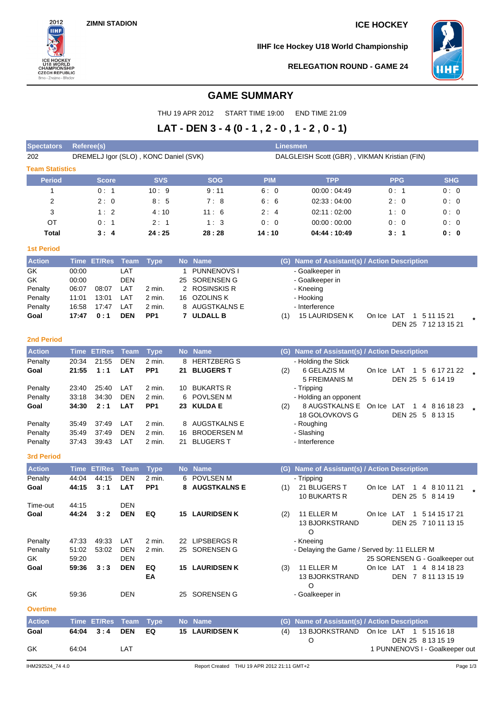

**IIHF Ice Hockey U18 World Championship**



# **RELEGATION ROUND - GAME 24**

# **GAME SUMMARY**

THU 19 APR 2012 START TIME 19:00 END TIME 21:09

# **LAT - DEN 3 - 4 (0 - 1 , 2 - 0 , 1 - 2 , 0 - 1)**

| <b>Spectators</b>      | <b>Referee(s)</b><br><b>Linesmen</b> |                    |             |                                       |     |                                |                                              |                                               |                                |                                                     |  |  |  |
|------------------------|--------------------------------------|--------------------|-------------|---------------------------------------|-----|--------------------------------|----------------------------------------------|-----------------------------------------------|--------------------------------|-----------------------------------------------------|--|--|--|
| 202                    |                                      |                    |             | DREMELJ Igor (SLO), KONC Daniel (SVK) |     |                                | DALGLEISH Scott (GBR), VIKMAN Kristian (FIN) |                                               |                                |                                                     |  |  |  |
| <b>Team Statistics</b> |                                      |                    |             |                                       |     |                                |                                              |                                               |                                |                                                     |  |  |  |
| <b>Period</b>          |                                      | <b>Score</b>       |             | <b>SVS</b>                            |     | <b>SOG</b>                     | <b>PIM</b>                                   | <b>TPP</b>                                    | <b>PPG</b>                     | <b>SHG</b>                                          |  |  |  |
| 1                      |                                      | 0:1                |             | 10:9                                  |     | 9:11                           | 6:0                                          | 00:00:04:49                                   | 0: 1                           | 0:0                                                 |  |  |  |
| 2                      |                                      | 2:0                |             | 8:5                                   |     | 7:8                            | 6:6                                          | 02:33:04:00                                   | 2:0                            | 0:0                                                 |  |  |  |
| 3                      |                                      | 1:2                |             | 4:10                                  |     | 11:6                           | 2:4                                          | 02:11:02:00                                   | 1:0                            | 0:0                                                 |  |  |  |
| OT                     |                                      | 0:1                |             | 2:1                                   |     | 1:3                            | 0:0                                          | 00:00:00:00                                   | 0:0                            | 0:0                                                 |  |  |  |
| <b>Total</b>           |                                      | 3:4                |             | 24:25                                 |     | 28:28                          | 14 : 10                                      | 04:44 : 10:49                                 | 3: 1                           | 0: 0                                                |  |  |  |
| <b>1st Period</b>      |                                      |                    |             |                                       |     |                                |                                              |                                               |                                |                                                     |  |  |  |
| <b>Action</b>          |                                      | Time ET/Res        | Team        | <b>Type</b>                           |     | No Name                        | (G)                                          | Name of Assistant(s) / Action Description     |                                |                                                     |  |  |  |
| GK                     | 00:00                                |                    | LAT         |                                       | 1   | <b>PUNNENOVS1</b>              |                                              | - Goalkeeper in                               |                                |                                                     |  |  |  |
| GK                     | 00:00                                |                    | <b>DEN</b>  |                                       | 25  | <b>SORENSEN G</b>              |                                              | - Goalkeeper in                               |                                |                                                     |  |  |  |
| Penalty                | 06:07                                | 08:07              | LAT         | 2 min.                                |     | 2 ROSINSKIS R                  |                                              | - Kneeing                                     |                                |                                                     |  |  |  |
| Penalty<br>Penalty     | 11:01<br>16:58                       | 13:01<br>17:47     | LAT<br>LAT  | 2 min.<br>2 min.                      |     | 16 OZOLINS K<br>8 AUGSTKALNS E |                                              | - Hooking<br>- Interference                   |                                |                                                     |  |  |  |
| Goal                   | 17:47                                | 0:1                | <b>DEN</b>  | PP <sub>1</sub>                       |     | 7 ULDALL B                     | (1)                                          | 15 LAURIDSEN K                                | On Ice LAT                     | 1 5 11 15 21                                        |  |  |  |
|                        |                                      |                    |             |                                       |     |                                |                                              |                                               |                                | DEN 25 7 12 13 15 21                                |  |  |  |
| <b>2nd Period</b>      |                                      |                    |             |                                       |     |                                |                                              |                                               |                                |                                                     |  |  |  |
| <b>Action</b>          |                                      | <b>Time ET/Res</b> | <b>Team</b> | <b>Type</b>                           |     | No Name                        |                                              | (G) Name of Assistant(s) / Action Description |                                |                                                     |  |  |  |
| Penalty                | 20:34                                | 21:55              | DEN         | 2 min.                                | 8   | <b>HERTZBERGS</b>              |                                              | - Holding the Stick                           |                                |                                                     |  |  |  |
| Goal                   | 21:55                                | 1:1                | <b>LAT</b>  | PP <sub>1</sub>                       | 21. | <b>BLUGERS T</b>               | (2)                                          | 6 GELAZIS M                                   | On Ice LAT                     | 1 5 6 17 21 22                                      |  |  |  |
|                        |                                      |                    |             |                                       |     |                                |                                              | 5 FREIMANIS M                                 |                                | DEN 25 5 6 14 19                                    |  |  |  |
| Penalty                | 23:40                                | 25:40              | LAT         | 2 min.                                |     | 10 BUKARTS R                   |                                              | - Tripping                                    |                                |                                                     |  |  |  |
| Penalty                | 33:18                                | 34:30              | <b>DEN</b>  | 2 min.                                | 6   | POVLSEN M                      |                                              | - Holding an opponent                         |                                |                                                     |  |  |  |
| Goal                   | 34:30                                | 2:1                | <b>LAT</b>  | PP <sub>1</sub>                       |     | 23 KULDA E                     | (2)                                          | 8 AUGSTKALNS E<br>18 GOLOVKOVS G              | On Ice LAT<br>$\mathbf{1}$     | 4 8 16 18 23<br>DEN 25 5 8 13 15                    |  |  |  |
| Penalty                | 35:49                                | 37:49              | LAT         | 2 min.                                | 8   | AUGSTKALNS E                   |                                              | - Roughing                                    |                                |                                                     |  |  |  |
| Penalty                | 35:49                                | 37:49              | <b>DEN</b>  | 2 min.                                | 16  | <b>BRODERSEN M</b>             |                                              | - Slashing                                    |                                |                                                     |  |  |  |
| Penalty                | 37:43                                | 39:43              | LAT         | 2 min.                                | 21  | <b>BLUGERS T</b>               |                                              | - Interference                                |                                |                                                     |  |  |  |
| <b>3rd Period</b>      |                                      |                    |             |                                       |     |                                |                                              |                                               |                                |                                                     |  |  |  |
| <b>Action</b>          |                                      | Time ET/Res        | <b>Team</b> | <b>Type</b>                           |     | No Name                        | (G)                                          | Name of Assistant(s) / Action Description     |                                |                                                     |  |  |  |
| Penalty                | 44:04                                | 44:15              | <b>DEN</b>  | 2 min.                                | 6   | <b>POVLSEN M</b>               |                                              | - Tripping                                    |                                |                                                     |  |  |  |
| Goal                   | 44:15                                | 3:1                | <b>LAT</b>  | PP <sub>1</sub>                       |     | 8 AUGSTKALNS E                 | (1)                                          | 21 BLUGERS T                                  | On Ice LAT<br>$\mathbf{1}$     | 4 8 10 11 21                                        |  |  |  |
| Time-out               | 44:15                                |                    | DEN         |                                       |     |                                |                                              | 10 BUKARTS R                                  |                                | DEN 25 5 8 14 19                                    |  |  |  |
| Goal                   | 44:24                                | 3:2                | <b>DEN</b>  | EQ                                    |     | <b>15 LAURIDSEN K</b>          | (2)                                          | 11 ELLER M                                    | On Ice LAT                     | 1 5 14 15 17 21                                     |  |  |  |
|                        |                                      |                    |             |                                       |     |                                |                                              | <b>13 BJORKSTRAND</b><br>O                    |                                | DEN 25 7 10 11 13 15                                |  |  |  |
| Penalty                | 47:33                                | 49:33              | LAT         | 2 min.                                |     | 22 LIPSBERGS R                 |                                              | - Kneeing                                     |                                |                                                     |  |  |  |
| Penalty                | 51:02                                | 53:02              | <b>DEN</b>  | 2 min.                                |     | 25 SORENSEN G                  |                                              | - Delaying the Game / Served by: 11 ELLER M   |                                |                                                     |  |  |  |
| GK                     | 59:20                                |                    | <b>DEN</b>  |                                       |     |                                |                                              |                                               | 25 SORENSEN G - Goalkeeper out |                                                     |  |  |  |
| Goal                   | 59:36                                | 3:3                | <b>DEN</b>  | EQ                                    |     | <b>15 LAURIDSEN K</b>          | (3)                                          | 11 ELLER M                                    | On Ice LAT 1 4 8 14 18 23      |                                                     |  |  |  |
|                        |                                      |                    |             | EA                                    |     |                                |                                              | <b>13 BJORKSTRAND</b><br>O                    |                                | DEN 7 8 11 13 15 19                                 |  |  |  |
| GK                     | 59:36                                |                    | DEN         |                                       |     | 25 SORENSEN G                  |                                              | - Goalkeeper in                               |                                |                                                     |  |  |  |
| <b>Overtime</b>        |                                      |                    |             |                                       |     |                                |                                              |                                               |                                |                                                     |  |  |  |
| <b>Action</b>          |                                      | Time ET/Res        | Team        | <b>Type</b>                           |     | No Name                        | (G)                                          | Name of Assistant(s) / Action Description     |                                |                                                     |  |  |  |
| Goal                   | 64:04                                | 3:4                | <b>DEN</b>  | EQ                                    |     | <b>15 LAURIDSEN K</b>          | (4)                                          | 13 BJORKSTRAND On Ice LAT 1 5 15 16 18        |                                |                                                     |  |  |  |
| GK                     | 64:04                                |                    | LAT         |                                       |     |                                |                                              | O                                             |                                | DEN 25 8 13 15 19<br>1 PUNNENOVS I - Goalkeeper out |  |  |  |
|                        |                                      |                    |             |                                       |     |                                |                                              |                                               |                                |                                                     |  |  |  |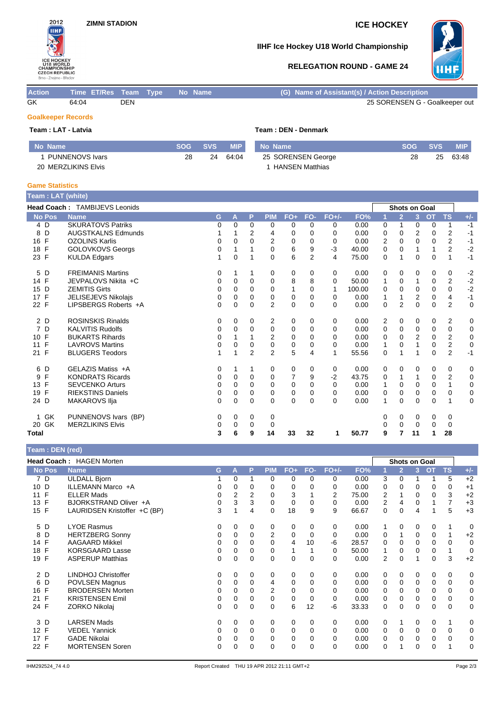# **ZIMNI STADION ICE HOCKEY**



# **IIHF Ice Hockey U18 World Championship**

## **RELEGATION ROUND - GAME 24**



| <b>Action</b> | Time ET/Res Team Type No Name |            |  |  | (G) Name of Assistant(s) / Action Description |
|---------------|-------------------------------|------------|--|--|-----------------------------------------------|
| GK            | 64:04                         | <b>DEN</b> |  |  | 25 SORENSEN G - Goalkeeper out                |

# **Goalkeeper Records**

| Team : LAT - Latvia    |            |            | Team: DEN - Denmark |                    |            |            |            |  |  |  |  |
|------------------------|------------|------------|---------------------|--------------------|------------|------------|------------|--|--|--|--|
| No Name                | <b>SOG</b> | <b>SVS</b> | <b>MIP</b>          | No Name            | <b>SOG</b> | <b>SVS</b> | <b>MIP</b> |  |  |  |  |
| <b>PUNNENOVS Ivars</b> | 28         | 24         | 64:04               | 25 SORENSEN George | 28         | 25         | 63:48      |  |  |  |  |
| 20 MERZLIKINS Elvis    |            |            |                     | HANSEN Matthias    |            |            |            |  |  |  |  |

### **Game Statistics**

| <b>Team: LAT (white)</b> |                               |   |             |          |                |             |          |         |        |          |                |                      |           |                |             |
|--------------------------|-------------------------------|---|-------------|----------|----------------|-------------|----------|---------|--------|----------|----------------|----------------------|-----------|----------------|-------------|
|                          | Head Coach: TAMBIJEVS Leonids |   |             |          |                |             |          |         |        |          |                | <b>Shots on Goal</b> |           |                |             |
| <b>No Pos</b>            | <b>Name</b>                   | G | A           | P        | <b>PIM</b>     | $FO+$       | FO-      | $FO+/-$ | FO%    | 1        | $\overline{2}$ | 3 <sup>1</sup>       | <b>OT</b> | <b>TS</b>      | $+/-$       |
| 4 D                      | <b>SKURATOVS Patriks</b>      | 0 | $\Omega$    | $\Omega$ | 0              | 0           | 0        | 0       | 0.00   | 0        | 1              | 0                    | 0         | 1              | $-1$        |
| D<br>8                   | <b>AUGSTKALNS Edmunds</b>     |   |             | 2        | 4              | 0           | 0        | 0       | 0.00   | 0        | 0              | 2                    | 0         | 2              | $-1$        |
| F<br>16                  | <b>OZOLINS Karlis</b>         | 0 | 0           | $\Omega$ | 2              | 0           | 0        | 0       | 0.00   | 2        | $\Omega$       | 0                    | 0         | 2              | $-1$        |
| F<br>18                  | <b>GOLOVKOVS Georgs</b>       | 0 | 1           |          | 0              | 6           | 9        | $-3$    | 40.00  | 0        | $\Omega$       | 1                    | 1         | $\overline{2}$ | $-2$        |
| F<br>23                  | <b>KULDA Edgars</b>           |   | $\mathbf 0$ |          | $\Omega$       | 6           | 2        | 4       | 75.00  | 0        | 1              | 0                    | 0         | 1              | $-1$        |
| D<br>5                   | <b>FREIMANIS Martins</b>      | 0 |             | 1        | 0              | 0           | 0        | 0       | 0.00   | 0        | 0              | 0                    | 0         | 0              | $-2$        |
| 14 F                     | JEVPALOVS Nikita +C           | 0 | 0           | 0        | 0              | 8           | 8        | 0       | 50.00  | 1        | 0              |                      | 0         | 2              | $-2$        |
| 15<br>D                  | <b>ZEMITIS Girts</b>          | 0 | $\Omega$    | 0        | 0              | 1           | 0        | 1       | 100.00 | 0        | $\Omega$       | 0                    | 0         | 0              | $-2$        |
| $\mathsf{F}$<br>17       | <b>JELISEJEVS Nikolais</b>    | 0 | 0           | 0        | 0              | 0           | 0        | 0       | 0.00   | 1        | 1              | 2                    | 0         | $\overline{4}$ | $-1$        |
| 22 F                     | LIPSBERGS Roberts +A          | 0 | $\Omega$    | $\Omega$ | $\overline{2}$ | $\Omega$    | 0        | 0       | 0.00   | $\Omega$ | 2              | $\Omega$             | $\Omega$  | $\overline{2}$ | $\mathbf 0$ |
| 2 D                      | <b>ROSINSKIS Rinalds</b>      | 0 | 0           | 0        | 2              | 0           | 0        | 0       | 0.00   | 2        | 0              | 0                    | 0         | 2              | 0           |
| 7<br>D                   | <b>KALVITIS Rudolfs</b>       | 0 | 0           | 0        | 0              | 0           | 0        | 0       | 0.00   | 0        | 0              | 0                    | 0         | $\mathbf 0$    | 0           |
| F<br>10                  | <b>BUKARTS Rihards</b>        | 0 |             |          | 2              | $\mathbf 0$ | $\Omega$ | 0       | 0.00   | $\Omega$ | $\Omega$       | $\overline{2}$       | 0         | $\overline{2}$ | $\mathbf 0$ |
| F<br>11                  | <b>LAVROVS Martins</b>        | 0 | 0           | 0        | 0              | 0           | 0        | 0       | 0.00   | 1        | 0              |                      | 0         | 2              | $\mathbf 0$ |
| F<br>21                  | <b>BLUGERS Teodors</b>        |   | 1           | 2        | $\overline{2}$ | 5           | 4        | 1       | 55.56  | 0        | 1              |                      | 0         | 2              | $-1$        |
| D<br>6                   | GELAZIS Matiss +A             | 0 | 1           | 1        | 0              | 0           | 0        | 0       | 0.00   | 0        | 0              | 0                    | 0         | 0              | 0           |
| F<br>9                   | <b>KONDRATS Ricards</b>       | 0 | 0           | 0        | 0              | 7           | 9        | $-2$    | 43.75  | 0        | 1              |                      | 0         | $\overline{2}$ | 0           |
| $\mathsf{F}$<br>13       | <b>SEVCENKO Arturs</b>        | 0 | $\Omega$    | 0        | 0              | 0           | $\Omega$ | 0       | 0.00   | 1        | $\Omega$       | 0                    | 0         | 1              | 0           |
| F<br>19                  | <b>RIEKSTINS Daniels</b>      | 0 | $\Omega$    | $\Omega$ | $\Omega$       | 0           | 0        | 0       | 0.00   | 0        | $\Omega$       | 0                    | 0         | $\mathbf 0$    | 0           |
| 24 D                     | <b>MAKAROVS IIja</b>          | 0 | 0           | 0        | 0              | $\mathbf 0$ | 0        | 0       | 0.00   | 1        | 0              | 0                    | 0         | 1              | $\mathbf 0$ |
| 1 GK                     | PUNNENOVS Ivars (BP)          | 0 | 0           | 0        | 0              |             |          |         |        | 0        | 0              | 0                    | 0         | 0              |             |
| 20 GK                    | <b>MERZLIKINS Elvis</b>       | 0 | 0           | 0        | 0              |             |          |         |        | 0        | 0              | 0                    | 0         | 0              |             |
| <b>Total</b>             |                               | 3 | 6           | 9        | 14             | 33          | 32       | 1       | 50.77  | 9        | 7              | 11                   | 1         | 28             |             |

# **Team : DEN (red)**

| $\overline{\text{real}}$ , DLIV (rea) |                                 |   |                |                |                |              |          |         |       |                |                |          |             |                |             |
|---------------------------------------|---------------------------------|---|----------------|----------------|----------------|--------------|----------|---------|-------|----------------|----------------|----------|-------------|----------------|-------------|
|                                       | <b>Head Coach: HAGEN Morten</b> |   |                |                |                |              |          |         |       |                | Shots on Goal  |          |             |                |             |
| <b>No Pos</b>                         | <b>Name</b>                     | G | A              | P              | <b>PIM</b>     | $FO+$        | FO-      | $FO+/-$ | FO%   |                | $\overline{2}$ | 3        | OT          | <b>TS</b>      | $+/-$       |
| 7 D                                   | <b>ULDALL Bjorn</b>             |   | $\Omega$       | 1              | 0              | 0            | $\Omega$ | 0       | 0.00  | 3              | 0              |          | 1           | 5              | $+2$        |
| 10 D                                  | ILLEMANN Marco +A               | 0 | 0              | 0              | 0              | 0            | 0        | 0       | 0.00  | 0              | 0              | 0        | 0           | 0              | $+1$        |
| F<br>11                               | <b>ELLER Mads</b>               | 0 | $\overline{2}$ | $\overline{2}$ | $\Omega$       | 3            |          | 2       | 75.00 | 2              | $\mathbf{1}$   | $\Omega$ | $\Omega$    | 3              | $+2$        |
| F<br>13                               | BJORKSTRAND Oliver +A           | 0 | 3              | 3              | 0              | 0            | $\Omega$ | 0       | 0.00  | 2              | 4              | 0        |             | $\overline{7}$ | $+3$        |
| 15<br>F                               | LAURIDSEN Kristoffer +C (BP)    | 3 |                | 4              | 0              | 18           | 9        | 9       | 66.67 | 0              | 0              | 4        | 1           | 5              | $+3$        |
| 5 D                                   | <b>LYOE Rasmus</b>              | 0 | 0              | 0              | 0              | 0            | 0        | 0       | 0.00  |                | 0              | 0        | 0           | 1              | $\Omega$    |
| 8<br>D                                | <b>HERTZBERG Sonny</b>          | 0 | 0              | 0              | $\overline{2}$ | 0            | 0        | 0       | 0.00  | 0              | 1              | $\Omega$ | 0           | 1              | $+2$        |
| F<br>14                               | <b>AAGAARD Mikkel</b>           | 0 | 0              | 0              | $\mathbf 0$    | 4            | 10       | $-6$    | 28.57 | 0              | 0              | 0        | 0           | $\mathbf 0$    | 0           |
| F<br>18                               | <b>KORSGAARD Lasse</b>          | 0 | 0              | 0              | 0              | $\mathbf{1}$ |          | 0       | 50.00 |                | 0              | 0        | 0           | $\mathbf{1}$   | $\mathbf 0$ |
| F<br>19                               | <b>ASPERUP Matthias</b>         | 0 | 0              | 0              | 0              | 0            | 0        | 0       | 0.00  | $\overline{2}$ | 0              | 1        | 0           | 3              | $+2$        |
| 2 D                                   | LINDHOJ Christoffer             | 0 | 0              | 0              | 0              | 0            | 0        | 0       | 0.00  | 0              | 0              | 0        | 0           | 0              | 0           |
| D<br>6                                | POVLSEN Magnus                  | 0 | 0              | 0              | 4              | 0            | $\Omega$ | 0       | 0.00  | 0              | 0              | 0        | 0           | $\mathbf 0$    | 0           |
| F<br>16                               | <b>BRODERSEN Morten</b>         | 0 | 0              | 0              | 2              | 0            | 0        | 0       | 0.00  | 0              | 0              | 0        | 0           | 0              | 0           |
| F<br>21                               | <b>KRISTENSEN Emil</b>          | 0 | 0              | 0              | 0              | 0            | 0        | 0       | 0.00  | 0              | 0              | $\Omega$ | 0           | 0              | 0           |
| 24 F                                  | ZORKO Nikolaj                   | 0 | 0              | $\mathbf 0$    | 0              | 6            | 12       | $-6$    | 33.33 | 0              | 0              | $\Omega$ | 0           | $\mathbf 0$    | 0           |
| 3 D                                   | <b>LARSEN Mads</b>              | 0 | 0              | 0              | 0              | 0            | 0        | 0       | 0.00  | 0              | 1              | 0        | 0           | 1              | 0           |
| 12 F                                  | <b>VEDEL Yannick</b>            | 0 | $\Omega$       | $\Omega$       | 0              | 0            | $\Omega$ | 0       | 0.00  | $\Omega$       | 0              | $\Omega$ | 0           | $\Omega$       | 0           |
| F<br>17                               | <b>GADE Nikolai</b>             | 0 | 0              | 0              | 0              | 0            | 0        | 0       | 0.00  | 0              | 0              | 0        | 0           | $\mathbf 0$    | $\mathbf 0$ |
| 22 F                                  | <b>MORTENSEN Soren</b>          | 0 | 0              | $\Omega$       | 0              | 0            | $\Omega$ | 0       | 0.00  | $\Omega$       | 1              | $\Omega$ | $\mathbf 0$ | 1              | $\Omega$    |